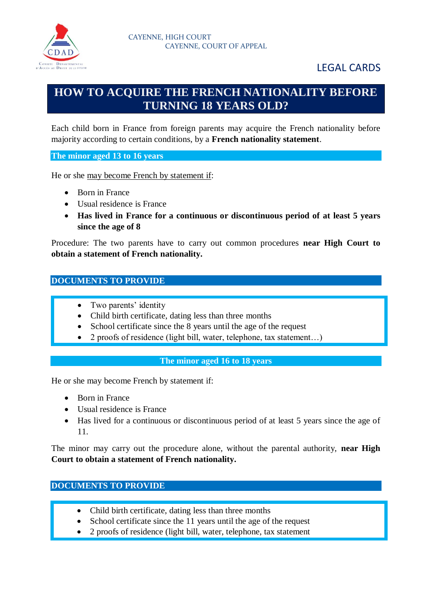

# **HOW TO ACQUIRE THE FRENCH NATIONALITY BEFORE TURNING 18 YEARS OLD?**

Each child born in France from foreign parents may acquire the French nationality before majority according to certain conditions, by a **French nationality statement**.

**The minor aged 13 to 16 years**

He or she may become French by statement if:

- Born in France
- Usual residence is France
- **Has lived in France for a continuous or discontinuous period of at least 5 years since the age of 8**

Procedure: The two parents have to carry out common procedures **near High Court to obtain a statement of French nationality.**

#### **DOCUMENTS TO PROVIDE**

- Two parents' identity
- Child birth certificate, dating less than three months
- School certificate since the 8 years until the age of the request
- 2 proofs of residence (light bill, water, telephone, tax statement...)

#### **The minor aged 16 to 18 years**

He or she may become French by statement if:

- Born in France
- Usual residence is France
- Has lived for a continuous or discontinuous period of at least 5 years since the age of 11.

The minor may carry out the procedure alone, without the parental authority, **near High Court to obtain a statement of French nationality.**

#### **DOCUMENTS TO PROVIDE**

- Child birth certificate, dating less than three months
- School certificate since the 11 years until the age of the request
- 2 proofs of residence (light bill, water, telephone, tax statement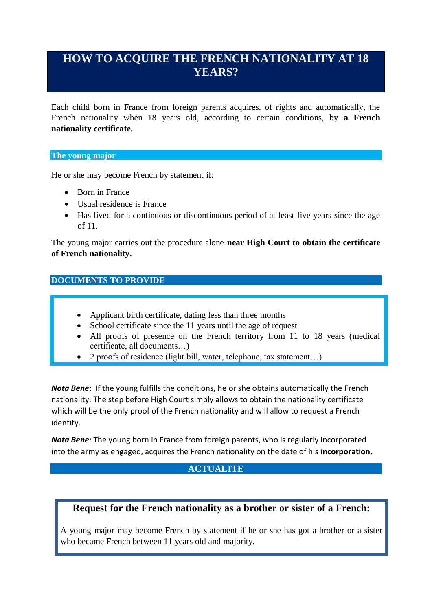# **HOW TO ACQUIRE THE FRENCH NATIONALITY AT 18 YEARS?**

Each child born in France from foreign parents acquires, of rights and automatically, the French nationality when 18 years old, according to certain conditions, by **a French nationality certificate.**

#### **The young major**

He or she may become French by statement if:

- Born in France
- Usual residence is France
- Has lived for a continuous or discontinuous period of at least five years since the age of 11.

The young major carries out the procedure alone **near High Court to obtain the certificate of French nationality.**

#### **DOCUMENTS TO PROVIDE**

- Applicant birth certificate, dating less than three months
- School certificate since the 11 years until the age of request
- All proofs of presence on the French territory from 11 to 18 years (medical certificate, all documents…)
- 2 proofs of residence (light bill, water, telephone, tax statement…)

*Nota Bene*: If the young fulfills the conditions, he or she obtains automatically the French nationality. The step before High Court simply allows to obtain the nationality certificate which will be the only proof of the French nationality and will allow to request a French identity.

*Nota Bene:* The young born in France from foreign parents, who is regularly incorporated into the army as engaged, acquires the French nationality on the date of his **incorporation.** 

### **ACTUALITE**

# **Request for the French nationality as a brother or sister of a French:**

A young major may become French by statement if he or she has got a brother or a sister who became French between 11 years old and majority.